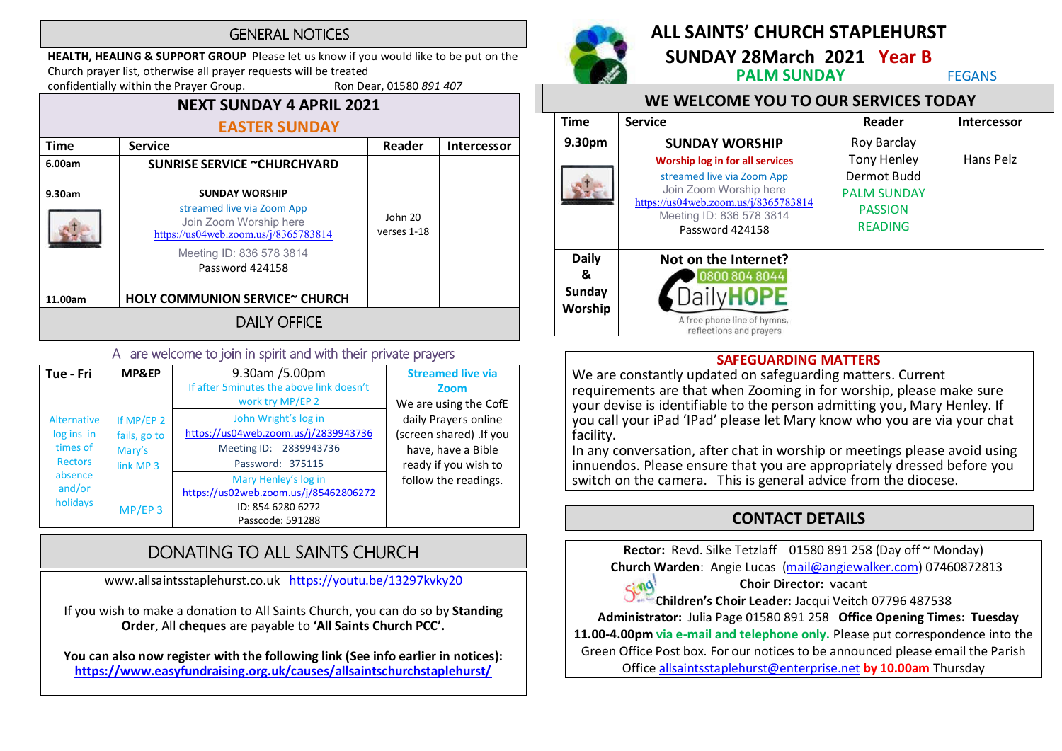#### **GENERAL NOTICES**

HEALTH, HEALING & SUPPORT GROUP Please let us know if you would like to be put on the Church prayer list, otherwise all prayer requests will be treated

confidentially within the Prayer Group. Ron Dear, 01580 891 407

#### NEXT SUNDAY 4 APRIL 2021 EASTER SUNDAY Time | Service | Reader | Intercessor 6.00am 9.30am 11.00am SUNRISE SERVICE ~CHURCHYARD SUNDAY WORSHIP streamed live via Zoom App Join Zoom Worship here https://us04web.zoom.us/j/8365783814 Meeting ID: 836 578 3814 Password 424158 HOLY COMMUNION SERVICE~ CHURCH John 20 verses 1-18

**DAILY OFFICE** 

#### All are welcome to join in spirit and with their private prayers

| Tue - Fri                                                      | MP&EP                                             | 9.30am /5.00pm<br>If after 5minutes the above link doesn't<br>work try MP/EP 2                             | <b>Streamed live via</b><br>Zoom<br>We are using the CofE                                     |
|----------------------------------------------------------------|---------------------------------------------------|------------------------------------------------------------------------------------------------------------|-----------------------------------------------------------------------------------------------|
| <b>Alternative</b><br>log ins in<br>times of<br><b>Rectors</b> | If MP/EP 2<br>fails, go to<br>Mary's<br>link MP 3 | John Wright's log in<br>https://us04web.zoom.us/j/2839943736<br>Meeting ID: 2839943736<br>Password: 375115 | daily Prayers online<br>(screen shared) .If you<br>have, have a Bible<br>ready if you wish to |
| absence<br>and/or<br>holidays                                  | $MP/EP$ 3                                         | Mary Henley's log in<br>https://us02web.zoom.us/j/85462806272<br>ID: 854 6280 6272<br>Passcode: 591288     | follow the readings.                                                                          |

# DONATING TO ALL SAINTS CHURCH

www.allsaintsstaplehurst.co.uk https://youtu.be/13297kvky20

If you wish to make a donation to All Saints Church, you can do so by Standing Order, All cheques are payable to 'All Saints Church PCC'.

You can also now register with the following link (See info earlier in notices): https://www.easyfundraising.org.uk/causes/allsaintschurchstaplehurst/



# ALL SAINTS' CHURCH STAPLEHURST

SUNDAY 28March 2021 Year B<br>PALM SUNDAY FEGANS

#### WE WELCOME YOU TO OUR SERVICES TODAY

| <b>Time</b>                                   | <b>Service</b>                                                                                                                                                                        | Reader                                                                                      | <b>Intercessor</b> |  |
|-----------------------------------------------|---------------------------------------------------------------------------------------------------------------------------------------------------------------------------------------|---------------------------------------------------------------------------------------------|--------------------|--|
| 9.30pm                                        | <b>SUNDAY WORSHIP</b>                                                                                                                                                                 | <b>Roy Barclay</b>                                                                          |                    |  |
|                                               | <b>Worship log in for all services</b><br>streamed live via Zoom App<br>Join Zoom Worship here<br>https://us04web.zoom.us/j/8365783814<br>Meeting ID: 836 578 3814<br>Password 424158 | <b>Tony Henley</b><br>Dermot Budd<br><b>PALM SUNDAY</b><br><b>PASSION</b><br><b>READING</b> | Hans Pelz          |  |
| <b>Daily</b><br>&<br><b>Sunday</b><br>Worship | Not on the Internet?<br>0800 804 8044<br>A free phone line of hymns,<br>reflections and prayers                                                                                       |                                                                                             |                    |  |

#### SAFEGUARDING MATTERS

We are constantly updated on safeguarding matters. Current requirements are that when Zooming in for worship, please make sure your devise is identifiable to the person admitting you, Mary Henley. If you call your iPad 'IPad' please let Mary know who you are via your chat facility.

In any conversation, after chat in worship or meetings please avoid using innuendos. Please ensure that you are appropriately dressed before you switch on the camera. This is general advice from the diocese.

# CONTACT DETAILS

Rector: Revd. Silke Tetzlaff 01580 891 258 (Day off ~ Monday) Church Warden: Angie Lucas (mail@angiewalker.com) 07460872813

Choir Director: vacant

Sing: Choir Director: vacant<br>Children's Choir Leader: Jacqui Veitch 07796 487538

Administrator: Julia Page 01580 891 258 Office Opening Times: Tuesday

11.00-4.00pm via e-mail and telephone only. Please put correspondence into the

Green Office Post box. For our notices to be announced please email the Parish

Office allsaintsstaplehurst@enterprise.net by 10.00am Thursday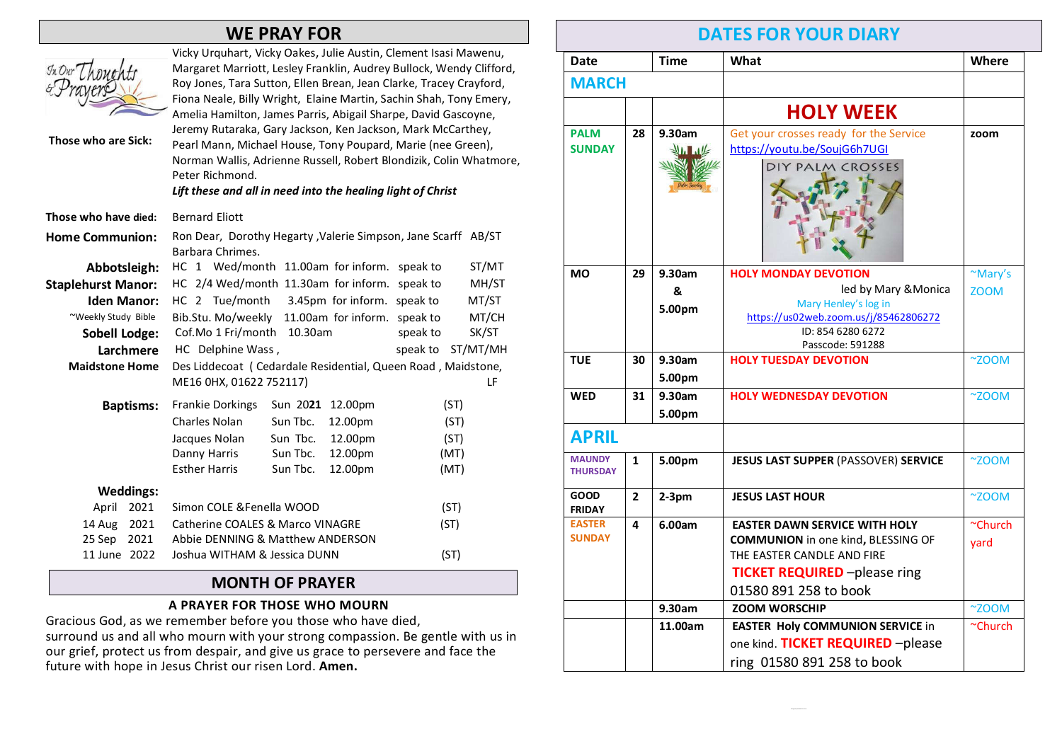# WE PRAY FOR

| In Our The<br>Those who are Sick: | Vicky Urquhart, Vicky Oakes, Julie Austin, Clement Isasi Mawenu,<br>Margaret Marriott, Lesley Franklin, Audrey Bullock, Wendy Clifford,<br>Roy Jones, Tara Sutton, Ellen Brean, Jean Clarke, Tracey Crayford,<br>Fiona Neale, Billy Wright, Elaine Martin, Sachin Shah, Tony Emery,<br>Amelia Hamilton, James Parris, Abigail Sharpe, David Gascoyne,<br>Jeremy Rutaraka, Gary Jackson, Ken Jackson, Mark McCarthey,<br>Pearl Mann, Michael House, Tony Poupard, Marie (nee Green),<br>Norman Wallis, Adrienne Russell, Robert Blondizik, Colin Whatmore,<br>Peter Richmond.<br>Lift these and all in need into the healing light of Christ |  |  |  |  |
|-----------------------------------|---------------------------------------------------------------------------------------------------------------------------------------------------------------------------------------------------------------------------------------------------------------------------------------------------------------------------------------------------------------------------------------------------------------------------------------------------------------------------------------------------------------------------------------------------------------------------------------------------------------------------------------------|--|--|--|--|
| Those who have died:              | <b>Bernard Eliott</b>                                                                                                                                                                                                                                                                                                                                                                                                                                                                                                                                                                                                                       |  |  |  |  |
| <b>Home Communion:</b>            | Ron Dear, Dorothy Hegarty , Valerie Simpson, Jane Scarff AB/ST<br>Barbara Chrimes.                                                                                                                                                                                                                                                                                                                                                                                                                                                                                                                                                          |  |  |  |  |
| Abbotsleigh:                      | HC 1 Wed/month 11.00am for inform.<br>ST/MT<br>speak to                                                                                                                                                                                                                                                                                                                                                                                                                                                                                                                                                                                     |  |  |  |  |
| <b>Staplehurst Manor:</b>         | HC 2/4 Wed/month 11.30am for inform.<br>speak to<br>MH/ST                                                                                                                                                                                                                                                                                                                                                                                                                                                                                                                                                                                   |  |  |  |  |
| <b>Iden Manor:</b>                | HC 2 Tue/month<br>3.45pm for inform. speak to<br>MT/ST                                                                                                                                                                                                                                                                                                                                                                                                                                                                                                                                                                                      |  |  |  |  |
| ~Weekly Study Bible               | Bib.Stu. Mo/weekly<br>11.00am for inform. speak to<br>MT/CH                                                                                                                                                                                                                                                                                                                                                                                                                                                                                                                                                                                 |  |  |  |  |
| <b>Sobell Lodge:</b>              | Cof.Mo 1 Fri/month<br>SK/ST<br>10.30am<br>speak to                                                                                                                                                                                                                                                                                                                                                                                                                                                                                                                                                                                          |  |  |  |  |
| Larchmere                         | HC Delphine Wass,<br>speak to<br>ST/MT/MH                                                                                                                                                                                                                                                                                                                                                                                                                                                                                                                                                                                                   |  |  |  |  |
| <b>Maidstone Home</b>             | Des Liddecoat (Cedardale Residential, Queen Road, Maidstone,                                                                                                                                                                                                                                                                                                                                                                                                                                                                                                                                                                                |  |  |  |  |
|                                   | ME16 0HX, 01622 752117)<br>LF                                                                                                                                                                                                                                                                                                                                                                                                                                                                                                                                                                                                               |  |  |  |  |
| <b>Baptisms:</b>                  | <b>Frankie Dorkings</b><br>Sun 2021 12.00pm<br>(ST)                                                                                                                                                                                                                                                                                                                                                                                                                                                                                                                                                                                         |  |  |  |  |
|                                   | <b>Charles Nolan</b><br>Sun Tbc.<br>12.00pm<br>(ST)                                                                                                                                                                                                                                                                                                                                                                                                                                                                                                                                                                                         |  |  |  |  |
|                                   | Sun Tbc.<br>12.00pm<br>(ST)<br>Jacques Nolan                                                                                                                                                                                                                                                                                                                                                                                                                                                                                                                                                                                                |  |  |  |  |
|                                   | Sun Tbc.<br>12.00pm<br>(MT)<br>Danny Harris                                                                                                                                                                                                                                                                                                                                                                                                                                                                                                                                                                                                 |  |  |  |  |
|                                   | <b>Esther Harris</b><br>Sun Tbc.<br>12.00pm<br>(MT)                                                                                                                                                                                                                                                                                                                                                                                                                                                                                                                                                                                         |  |  |  |  |
| <b>Weddings:</b>                  |                                                                                                                                                                                                                                                                                                                                                                                                                                                                                                                                                                                                                                             |  |  |  |  |
| April<br>2021                     | Simon COLE & Fenella WOOD<br>(ST)                                                                                                                                                                                                                                                                                                                                                                                                                                                                                                                                                                                                           |  |  |  |  |
| 14 Aug<br>2021                    | <b>Catherine COALES &amp; Marco VINAGRE</b><br>(ST)                                                                                                                                                                                                                                                                                                                                                                                                                                                                                                                                                                                         |  |  |  |  |
| 25 Sep<br>2021                    | Abbie DENNING & Matthew ANDERSON                                                                                                                                                                                                                                                                                                                                                                                                                                                                                                                                                                                                            |  |  |  |  |
| 11 June 2022                      | Joshua WITHAM & Jessica DUNN<br>(ST)                                                                                                                                                                                                                                                                                                                                                                                                                                                                                                                                                                                                        |  |  |  |  |

#### MONTH OF PRAYER

#### A PRAYER FOR THOSE WHO MOURN

Gracious God, as we remember before you those who have died, surround us and all who mourn with your strong compassion. Be gentle with us in our grief, protect us from despair, and give us grace to persevere and face the future with hope in Jesus Christ our risen Lord. Amen.

# DATES FOR YOUR DIARY

| <b>Date</b>                      |                | <b>Time</b>           | What                                                                                                                                                                            | Where                  |  |  |
|----------------------------------|----------------|-----------------------|---------------------------------------------------------------------------------------------------------------------------------------------------------------------------------|------------------------|--|--|
| <b>MARCH</b>                     |                |                       |                                                                                                                                                                                 |                        |  |  |
|                                  |                |                       | <b>HOLY WEEK</b>                                                                                                                                                                |                        |  |  |
| <b>PALM</b><br><b>SUNDAY</b>     | 28             | 9.30am<br>11          | Get your crosses ready for the Service<br>https://youtu.be/SoujG6h7UGI<br>DIY PALM CROSSES                                                                                      | zoom                   |  |  |
| <b>MO</b>                        | 29             | 9.30am<br>&<br>5.00pm | <b>HOLY MONDAY DEVOTION</b><br>led by Mary & Monica<br>Mary Henley's log in<br>https://us02web.zoom.us/j/85462806272<br>ID: 854 6280 6272<br>Passcode: 591288                   | ~Mary's<br><b>ZOOM</b> |  |  |
| <b>TUE</b>                       | 30             | 9.30am<br>5.00pm      | <b>HOLY TUESDAY DEVOTION</b>                                                                                                                                                    | $^{\sim}$ ZOOM         |  |  |
| <b>WED</b>                       | 31             | 9.30am<br>5.00pm      | <b>HOLY WEDNESDAY DEVOTION</b>                                                                                                                                                  | $~\sim$ ZOOM           |  |  |
| <b>APRIL</b>                     |                |                       |                                                                                                                                                                                 |                        |  |  |
| <b>MAUNDY</b><br><b>THURSDAY</b> | 1              | 5.00pm                | <b>JESUS LAST SUPPER (PASSOVER) SERVICE</b>                                                                                                                                     | $~\sim$ ZOOM           |  |  |
| <b>GOOD</b><br><b>FRIDAY</b>     | $\overline{2}$ | $2-3pm$               | <b>JESUS LAST HOUR</b>                                                                                                                                                          | $^{\sim}$ ZOOM         |  |  |
| <b>EASTER</b><br><b>SUNDAY</b>   | 4              | 6.00am                | <b>EASTER DAWN SERVICE WITH HOLY</b><br><b>COMMUNION</b> in one kind, BLESSING OF<br>THE EASTER CANDLE AND FIRE<br><b>TICKET REQUIRED</b> -please ring<br>01580 891 258 to book | ~Church<br>yard        |  |  |
|                                  |                | 9.30am                | <b>ZOOM WORSCHIP</b>                                                                                                                                                            | $~\sim$ ZOOM           |  |  |
|                                  |                | 11.00am               | <b>EASTER Holy COMMUNION SERVICE in</b><br>one kind. TICKET REQUIRED - please<br>ring 01580 891 258 to book                                                                     | ~Church                |  |  |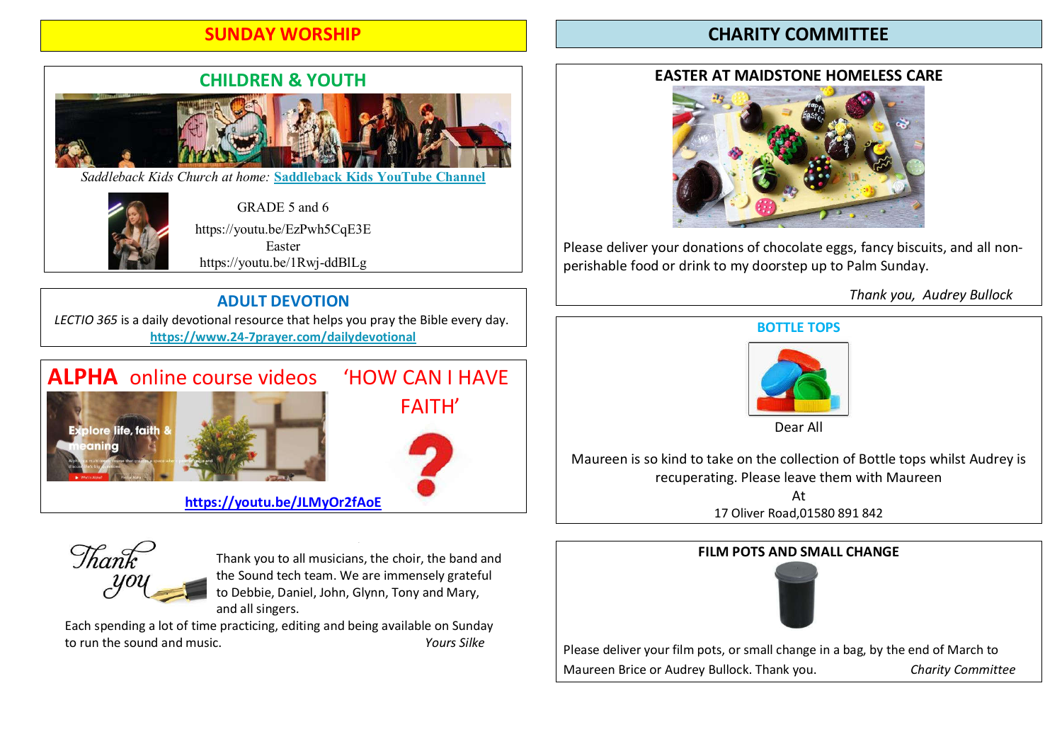# SUNDAY WORSHIP

# CHARITY COMMITTEE



*Saddleback Kids Church at home:* **Saddleback Kids YouTube Channel**



GRADE 5 and 6 https://youtu.be/EzPwh5CqE3E Easter https://youtu.be/1Rwj-ddBlLg

# ADULT DEVOTION

LECTIO 365 is a daily devotional resource that helps you pray the Bible every day. https://www.24-7prayer.com/dailydevotional

# ALPHA online course videos 'HOW CAN I HAVE





https://youtu.be/JLMyOr2fAoE



Thank you to all musicians, the choir, the band and the Sound tech team. We are immensely grateful to Debbie, Daniel, John, Glynn, Tony and Mary, and all singers.

Each spending a lot of time practicing, editing and being available on Sunday to run the sound and music. Yours Silke

### EASTER AT MAIDSTONE HOMELESS CARE



Please deliver your donations of chocolate eggs, fancy biscuits, and all nonperishable food or drink to my doorstep up to Palm Sunday.

Thank you, Audrey Bullock



Dear All

Maureen is so kind to take on the collection of Bottle tops whilst Audrey is recuperating. Please leave them with Maureen

> At 17 Oliver Road,01580 891 842

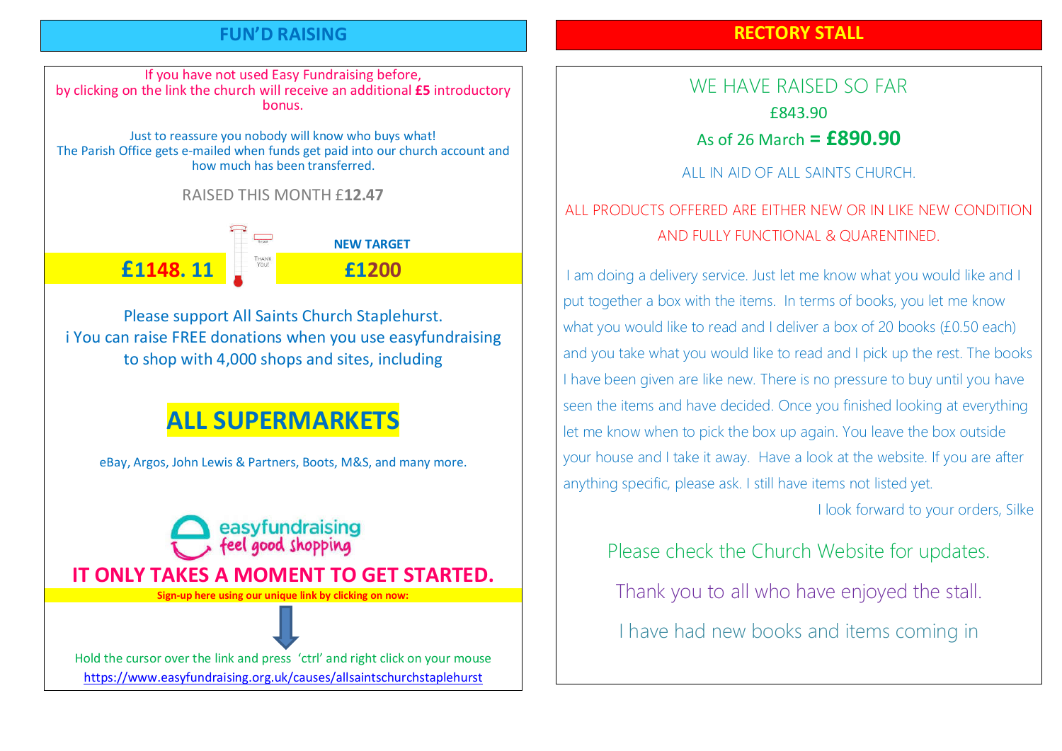### FUN'D RAISING

# RECTORY STALL

If you have not used Easy Fundraising before, by clicking on the link the church will receive an additional £5 introductory bonus.

Just to reassure you nobody will know who buys what! The Parish Office gets e-mailed when funds get paid into our church account and how much has been transferred.

RAISED THIS MONTH £12.47

**NEW TARGET** £1148. 11 £1200

Please support All Saints Church Staplehurst. i You can raise FREE donations when you use easyfundraising to shop with 4,000 shops and sites, including

# ALL SUPERMARKETS

eBay, Argos, John Lewis & Partners, Boots, M&S, and many more.

easyfundraising

eel good shopping IT ONLY TAKES A MOMENT TO GET STARTED. Sign-up here using our unique link by clicking on now: Hold the cursor over the link and press 'ctrl' and right click on your mouse

https://www.easyfundraising.org.uk/causes/allsaintschurchstaplehurst

WE HAVE RAISED SO FAR £843.90 As of 26 March  $=$  £890.90

ALL IN AID OF ALL SAINTS CHURCH.

# ALL PRODUCTS OFFERED ARE EITHER NEW OR IN LIKE NEW CONDITION AND FULLY FUNCTIONAL & QUARENTINED.

I am doing a delivery service. Just let me know what you would like and I put together a box with the items. In terms of books, you let me know what you would like to read and I deliver a box of 20 books (£0.50 each) and you take what you would like to read and I pick up the rest. The books I have been given are like new. There is no pressure to buy until you have seen the items and have decided. Once you finished looking at everything let me know when to pick the box up again. You leave the box outside your house and I take it away. Have a look at the website. If you are after anything specific, please ask. I still have items not listed yet.

I look forward to your orders, Silke

Please check the Church Website for updates.

Thank you to all who have enjoyed the stall.

I have had new books and items coming in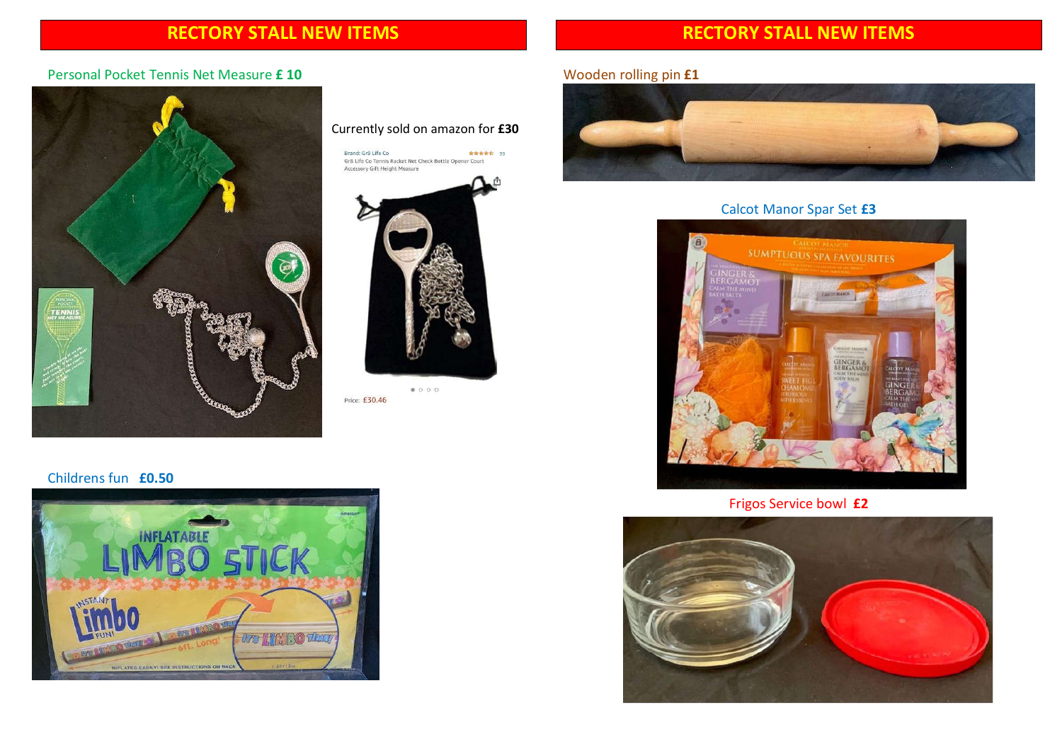# RECTORY STALL NEW ITEMS

# RECTORY STALL NEW ITEMS

#### Personal Pocket Tennis Net Measure £ 10



#### Currently sold on amazon for £30

Brand: Gr8 Life Co<br>Gr8 Life Co Tennis Racket Net Check Bottle Opener Court \*\*\*\*\* 39 Accessory Gift Height Measure



 $\begin{array}{ccc} \bullet & \circ & \circ & \circ \end{array}$ Price: £30.46

#### Childrens fun £0.50



### Wooden rolling pin £1



#### Calcot Manor Spar Set £3



Frigos Service bowl £2